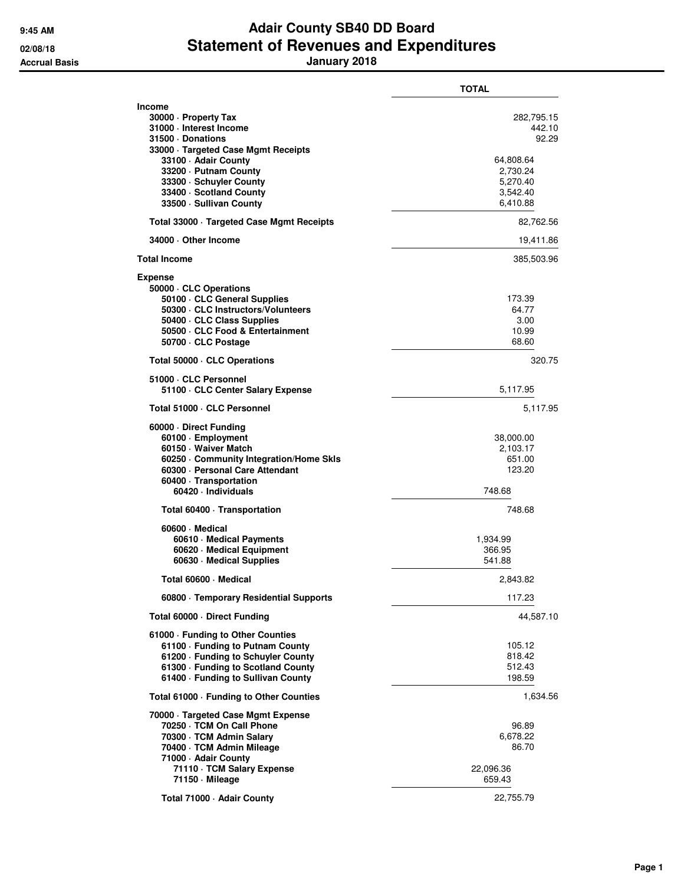## **9:45 AM Adair County SB40 DD Board 02/08/18 Statement of Revenues and Expenditures Accrual Basis January 2018**

|                                                                                                                                                                                                                                                              | TOTAL                                                                                      |
|--------------------------------------------------------------------------------------------------------------------------------------------------------------------------------------------------------------------------------------------------------------|--------------------------------------------------------------------------------------------|
| <b>Income</b><br>30000 · Property Tax<br>31000 - Interest Income<br>31500 Donations<br>33000 · Targeted Case Mgmt Receipts<br>33100 - Adair County<br>33200 - Putnam County<br>33300 · Schuyler County<br>33400 · Scotland County<br>33500 · Sullivan County | 282,795.15<br>442.10<br>92.29<br>64,808.64<br>2,730.24<br>5,270.40<br>3,542.40<br>6,410.88 |
| Total 33000 · Targeted Case Mgmt Receipts                                                                                                                                                                                                                    | 82,762.56                                                                                  |
| 34000 Other Income                                                                                                                                                                                                                                           | 19,411.86                                                                                  |
| <b>Total Income</b>                                                                                                                                                                                                                                          | 385,503.96                                                                                 |
| <b>Expense</b><br>50000 · CLC Operations<br>50100 CLC General Supplies<br>50300 CLC Instructors/Volunteers<br>50400 CLC Class Supplies<br>50500 · CLC Food & Entertainment<br>50700 · CLC Postage                                                            | 173.39<br>64.77<br>3.00<br>10.99<br>68.60                                                  |
| Total 50000 · CLC Operations                                                                                                                                                                                                                                 | 320.75                                                                                     |
| 51000 · CLC Personnel<br>51100 CLC Center Salary Expense                                                                                                                                                                                                     | 5,117.95                                                                                   |
| Total 51000 · CLC Personnel                                                                                                                                                                                                                                  | 5,117.95                                                                                   |
| 60000 Direct Funding<br>60100 · Employment<br>60150 · Waiver Match<br>60250 Community Integration/Home Skls<br>60300 · Personal Care Attendant<br>60400 · Transportation<br>60420 · Individuals                                                              | 38,000.00<br>2,103.17<br>651.00<br>123.20<br>748.68                                        |
| Total 60400 · Transportation                                                                                                                                                                                                                                 | 748.68                                                                                     |
| 60600 Medical<br>60610 · Medical Payments<br>60620 · Medical Equipment<br>60630 Medical Supplies                                                                                                                                                             | 1,934.99<br>366.95<br>541.88                                                               |
| Total 60600 - Medical                                                                                                                                                                                                                                        | 2,843.82                                                                                   |
| 60800 · Temporary Residential Supports                                                                                                                                                                                                                       | 117.23                                                                                     |
| Total 60000 Direct Funding                                                                                                                                                                                                                                   | 44,587.10                                                                                  |
| 61000 - Funding to Other Counties<br>61100 · Funding to Putnam County<br>61200 · Funding to Schuyler County<br>61300 · Funding to Scotland County<br>61400 · Funding to Sullivan County                                                                      | 105.12<br>818.42<br>512.43<br>198.59                                                       |
| Total 61000 - Funding to Other Counties                                                                                                                                                                                                                      | 1,634.56                                                                                   |
| 70000 · Targeted Case Mgmt Expense<br>70250 · TCM On Call Phone<br>70300 · TCM Admin Salary<br>70400 · TCM Admin Mileage<br>71000 - Adair County<br>71110 · TCM Salary Expense<br>71150 - Mileage                                                            | 96.89<br>6,678.22<br>86.70<br>22,096.36<br>659.43                                          |
| Total 71000 - Adair County                                                                                                                                                                                                                                   | 22,755.79                                                                                  |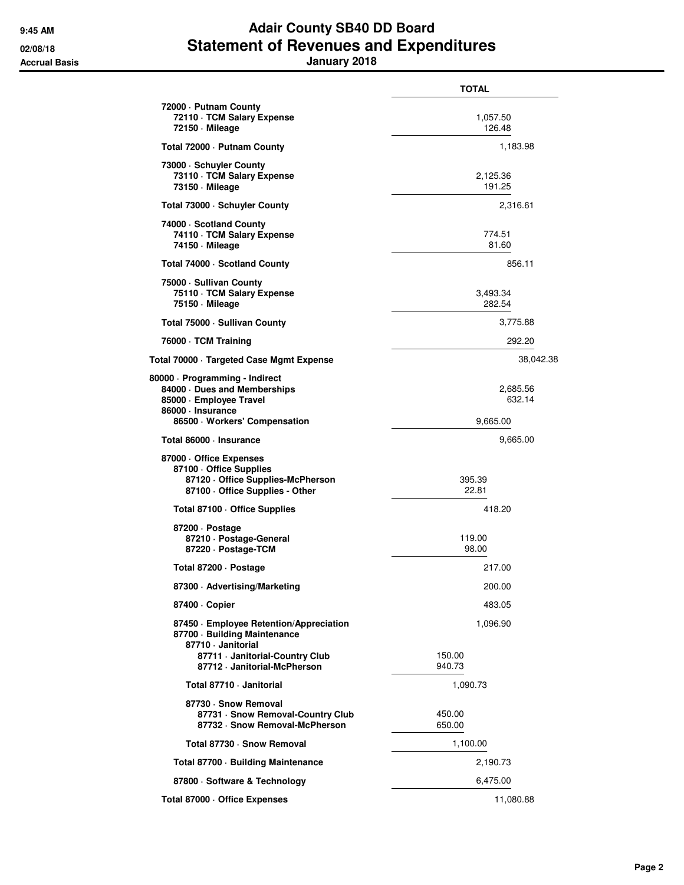## **9:45 AM Adair County SB40 DD Board 02/08/18 Statement of Revenues and Expenditures Accrual Basis January 2018**

|                                                                                                                                               | <b>TOTAL</b>                   |
|-----------------------------------------------------------------------------------------------------------------------------------------------|--------------------------------|
| 72000 - Putnam County<br>72110 · TCM Salary Expense<br>72150 - Mileage                                                                        | 1,057.50<br>126.48             |
| Total 72000 - Putnam County                                                                                                                   | 1,183.98                       |
| 73000 · Schuyler County<br>73110 · TCM Salary Expense<br>73150 - Mileage                                                                      | 2,125.36<br>191.25             |
| Total 73000 · Schuyler County                                                                                                                 | 2,316.61                       |
| 74000 · Scotland County<br>74110 · TCM Salary Expense<br>74150 - Mileage                                                                      | 774.51<br>81.60                |
| Total 74000 · Scotland County                                                                                                                 | 856.11                         |
| 75000 · Sullivan County<br>75110 · TCM Salary Expense<br>75150 - Mileage                                                                      | 3,493.34<br>282.54             |
| Total 75000 - Sullivan County                                                                                                                 | 3,775.88                       |
| 76000 · TCM Training                                                                                                                          | 292.20                         |
| Total 70000 · Targeted Case Mgmt Expense                                                                                                      | 38,042.38                      |
| 80000 · Programming - Indirect<br>84000 Dues and Memberships<br>85000 · Employee Travel<br>86000 · Insurance<br>86500 · Workers' Compensation | 2,685.56<br>632.14<br>9,665.00 |
| Total 86000 · Insurance                                                                                                                       | 9,665.00                       |
| 87000 Office Expenses<br>87100 Office Supplies<br>87120 Office Supplies-McPherson<br>87100 - Office Supplies - Other                          | 395.39<br>22.81                |
| Total 87100 · Office Supplies                                                                                                                 | 418.20                         |
| 87200 Dostage<br>87210 · Postage-General<br>87220 · Postage-TCM                                                                               | 119.00<br>98.00                |
| Total 87200 · Postage                                                                                                                         | 217.00                         |
| 87300 · Advertising/Marketing                                                                                                                 | 200.00                         |
| 87400 Copier                                                                                                                                  | 483.05                         |
| 87450 Employee Retention/Appreciation<br>87700 · Building Maintenance<br>87710 · Janitorial                                                   | 1,096.90                       |
| 87711 · Janitorial-Country Club<br>87712 Janitorial-McPherson                                                                                 | 150.00<br>940.73               |
| Total 87710 - Janitorial                                                                                                                      | 1,090.73                       |
| 87730 · Snow Removal<br>87731 · Snow Removal-Country Club<br>87732 · Snow Removal-McPherson                                                   | 450.00<br>650.00               |
| Total 87730 - Snow Removal                                                                                                                    | 1,100.00                       |
| Total 87700 · Building Maintenance                                                                                                            | 2,190.73                       |
| 87800 · Software & Technology                                                                                                                 | 6,475.00                       |
| Total 87000 Office Expenses                                                                                                                   | 11,080.88                      |